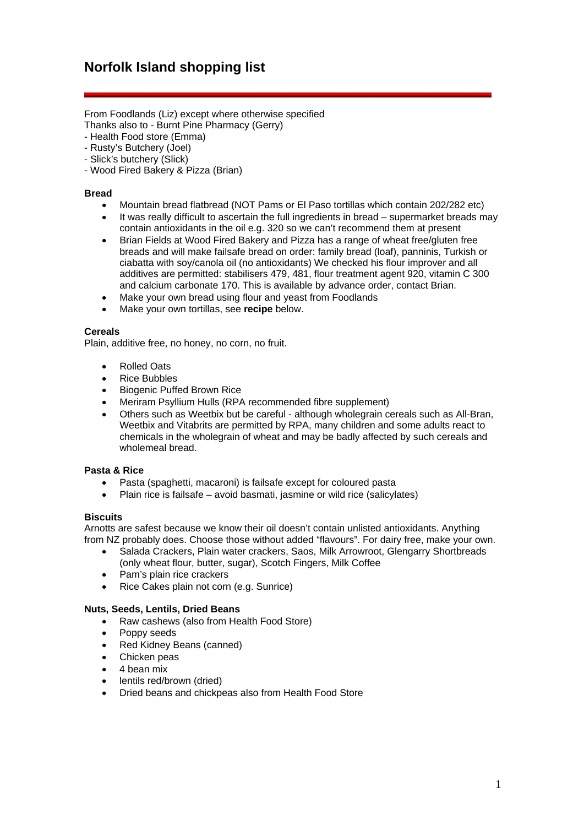From Foodlands (Liz) except where otherwise specified Thanks also to - Burnt Pine Pharmacy (Gerry)

- Health Food store (Emma)
- Rusty's Butchery (Joel)
- Slick's butchery (Slick)
- Wood Fired Bakery & Pizza (Brian)

### **Bread**

- Mountain bread flatbread (NOT Pams or El Paso tortillas which contain 202/282 etc)
- It was really difficult to ascertain the full ingredients in bread supermarket breads may contain antioxidants in the oil e.g. 320 so we can't recommend them at present
- Brian Fields at Wood Fired Bakery and Pizza has a range of wheat free/gluten free breads and will make failsafe bread on order: family bread (loaf), panninis, Turkish or ciabatta with soy/canola oil (no antioxidants) We checked his flour improver and all additives are permitted: stabilisers 479, 481, flour treatment agent 920, vitamin C 300 and calcium carbonate 170. This is available by advance order, contact Brian.
- Make your own bread using flour and yeast from Foodlands
- Make your own tortillas, see **recipe** below.

#### **Cereals**

Plain, additive free, no honey, no corn, no fruit.

- Rolled Oats
- Rice Bubbles
- Biogenic Puffed Brown Rice
- Meriram Psyllium Hulls (RPA recommended fibre supplement)
- Others such as Weetbix but be careful although wholegrain cereals such as All-Bran, Weetbix and Vitabrits are permitted by RPA, many children and some adults react to chemicals in the wholegrain of wheat and may be badly affected by such cereals and wholemeal bread.

## **Pasta & Rice**

- Pasta (spaghetti, macaroni) is failsafe except for coloured pasta
- Plain rice is failsafe avoid basmati, jasmine or wild rice (salicylates)

## **Biscuits**

Arnotts are safest because we know their oil doesn't contain unlisted antioxidants. Anything from NZ probably does. Choose those without added "flavours". For dairy free, make your own.

- Salada Crackers, Plain water crackers, Saos, Milk Arrowroot, Glengarry Shortbreads (only wheat flour, butter, sugar), Scotch Fingers, Milk Coffee
- Pam's plain rice crackers
- Rice Cakes plain not corn (e.g. Sunrice)

# **Nuts, Seeds, Lentils, Dried Beans**

- Raw cashews (also from Health Food Store)
- Poppy seeds
- Red Kidney Beans (canned)
- Chicken peas
- 4 bean mix
- lentils red/brown (dried)
- Dried beans and chickpeas also from Health Food Store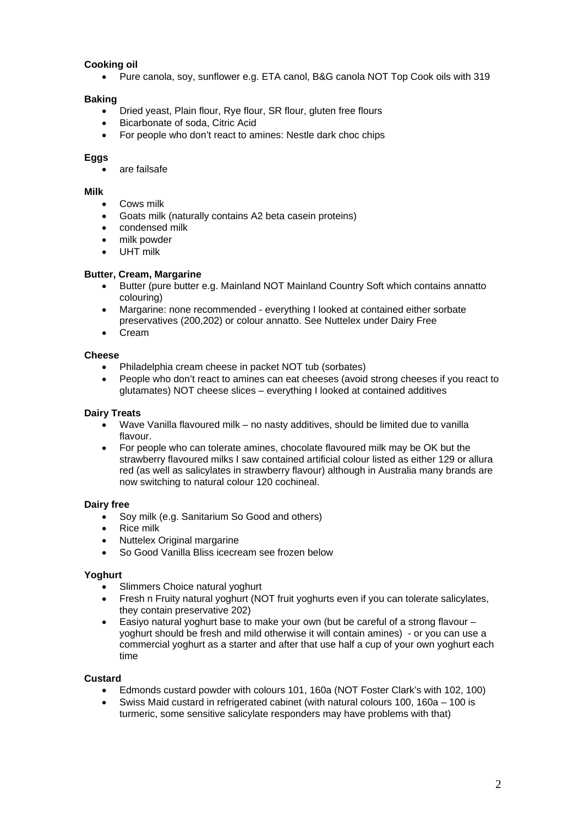# **Cooking oil**

• Pure canola, soy, sunflower e.g. ETA canol, B&G canola NOT Top Cook oils with 319

## **Baking**

- Dried yeast, Plain flour, Rye flour, SR flour, gluten free flours
- Bicarbonate of soda, Citric Acid
- For people who don't react to amines: Nestle dark choc chips

### **Eggs**

• are failsafe

#### **Milk**

- Cows milk
- Goats milk (naturally contains A2 beta casein proteins)
- condensed milk
- milk powder
- UHT milk

### **Butter, Cream, Margarine**

- Butter (pure butter e.g. Mainland NOT Mainland Country Soft which contains annatto colouring)
- Margarine: none recommended everything I looked at contained either sorbate preservatives (200,202) or colour annatto. See Nuttelex under Dairy Free
- Cream

### **Cheese**

- Philadelphia cream cheese in packet NOT tub (sorbates)
- People who don't react to amines can eat cheeses (avoid strong cheeses if you react to glutamates) NOT cheese slices – everything I looked at contained additives

### **Dairy Treats**

- Wave Vanilla flavoured milk no nasty additives, should be limited due to vanilla flavour.
- For people who can tolerate amines, chocolate flavoured milk may be OK but the strawberry flavoured milks I saw contained artificial colour listed as either 129 or allura red (as well as salicylates in strawberry flavour) although in Australia many brands are now switching to natural colour 120 cochineal.

#### **Dairy free**

- Soy milk (e.g. Sanitarium So Good and others)
- Rice milk
- **Nuttelex Original margarine**
- So Good Vanilla Bliss icecream see frozen below

#### **Yoghurt**

- Slimmers Choice natural yoghurt
- Fresh n Fruity natural yoghurt (NOT fruit yoghurts even if you can tolerate salicylates, they contain preservative 202)
- Easiyo natural yoghurt base to make your own (but be careful of a strong flavour yoghurt should be fresh and mild otherwise it will contain amines) - or you can use a commercial yoghurt as a starter and after that use half a cup of your own yoghurt each time

## **Custard**

- Edmonds custard powder with colours 101, 160a (NOT Foster Clark's with 102, 100)
- Swiss Maid custard in refrigerated cabinet (with natural colours 100, 160a 100 is turmeric, some sensitive salicylate responders may have problems with that)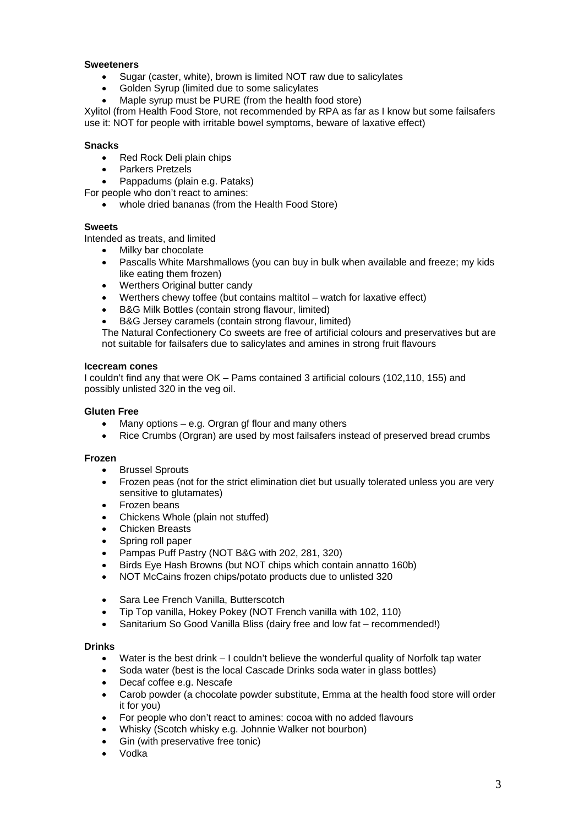## **Sweeteners**

- Sugar (caster, white), brown is limited NOT raw due to salicylates
- Golden Syrup (limited due to some salicylates
- Maple syrup must be PURE (from the health food store)

Xylitol (from Health Food Store, not recommended by RPA as far as I know but some failsafers use it: NOT for people with irritable bowel symptoms, beware of laxative effect)

### **Snacks**

- Red Rock Deli plain chips
- Parkers Pretzels
- Pappadums (plain e.g. Pataks)

For people who don't react to amines:

whole dried bananas (from the Health Food Store)

#### **Sweets**

Intended as treats, and limited

- Milky bar chocolate
- Pascalls White Marshmallows (you can buy in bulk when available and freeze; my kids like eating them frozen)
- Werthers Original butter candy
- Werthers chewy toffee (but contains maltitol watch for laxative effect)
- B&G Milk Bottles (contain strong flavour, limited)
- B&G Jersey caramels (contain strong flavour, limited)

The Natural Confectionery Co sweets are free of artificial colours and preservatives but are not suitable for failsafers due to salicylates and amines in strong fruit flavours

#### **Icecream cones**

I couldn't find any that were OK – Pams contained 3 artificial colours (102,110, 155) and possibly unlisted 320 in the veg oil.

### **Gluten Free**

- Many options  $-$  e.g. Orgran gf flour and many others
- Rice Crumbs (Orgran) are used by most failsafers instead of preserved bread crumbs

#### **Frozen**

- Brussel Sprouts
- Frozen peas (not for the strict elimination diet but usually tolerated unless you are very sensitive to glutamates)
- Frozen beans
- Chickens Whole (plain not stuffed)
- Chicken Breasts
- Spring roll paper
- Pampas Puff Pastry (NOT B&G with 202, 281, 320)
- Birds Eye Hash Browns (but NOT chips which contain annatto 160b)
- NOT McCains frozen chips/potato products due to unlisted 320
- Sara Lee French Vanilla, Butterscotch
- Tip Top vanilla, Hokey Pokey (NOT French vanilla with 102, 110)
- Sanitarium So Good Vanilla Bliss (dairy free and low fat recommended!)

#### **Drinks**

- Water is the best drink I couldn't believe the wonderful quality of Norfolk tap water
- Soda water (best is the local Cascade Drinks soda water in glass bottles)
- Decaf coffee e.g. Nescafe
- Carob powder (a chocolate powder substitute, Emma at the health food store will order it for you)
- For people who don't react to amines: cocoa with no added flavours
- Whisky (Scotch whisky e.g. Johnnie Walker not bourbon)
- Gin (with preservative free tonic)
- Vodka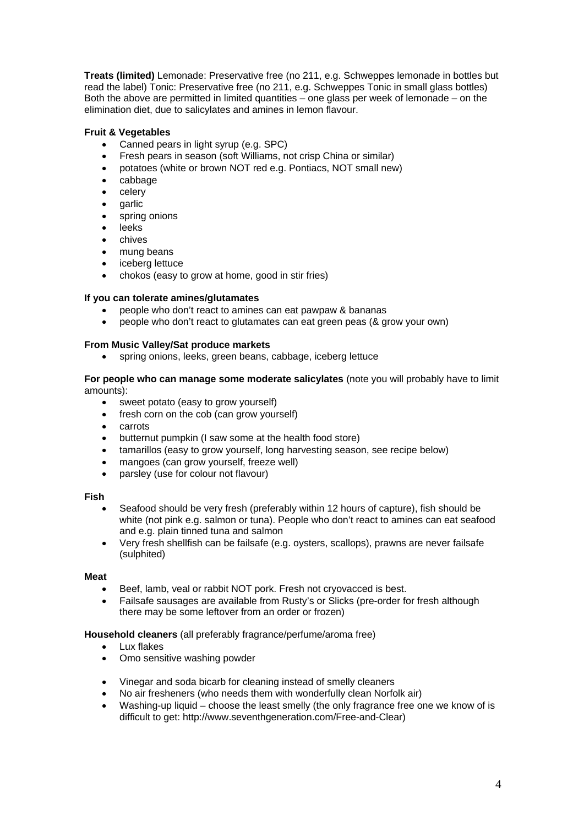**Treats (limited)** Lemonade: Preservative free (no 211, e.g. Schweppes lemonade in bottles but read the label) Tonic: Preservative free (no 211, e.g. Schweppes Tonic in small glass bottles) Both the above are permitted in limited quantities – one glass per week of lemonade – on the elimination diet, due to salicylates and amines in lemon flavour.

# **Fruit & Vegetables**

- Canned pears in light syrup (e.g. SPC)
- Fresh pears in season (soft Williams, not crisp China or similar)
- potatoes (white or brown NOT red e.g. Pontiacs, NOT small new)
- cabbage
- celery
- garlic
- spring onions
- leeks
- chives
- mung beans
- iceberg lettuce
- chokos (easy to grow at home, good in stir fries)

## **If you can tolerate amines/glutamates**

- people who don't react to amines can eat pawpaw & bananas
- people who don't react to glutamates can eat green peas (& grow your own)

## **From Music Valley/Sat produce markets**

• spring onions, leeks, green beans, cabbage, iceberg lettuce

### **For people who can manage some moderate salicylates** (note you will probably have to limit amounts):

- sweet potato (easy to grow yourself)
- fresh corn on the cob (can grow yourself)
- carrots
- butternut pumpkin (I saw some at the health food store)
- tamarillos (easy to grow yourself, long harvesting season, see recipe below)
- mangoes (can grow yourself, freeze well)
- parsley (use for colour not flavour)

## **Fish**

- Seafood should be very fresh (preferably within 12 hours of capture), fish should be white (not pink e.g. salmon or tuna). People who don't react to amines can eat seafood and e.g. plain tinned tuna and salmon
- Very fresh shellfish can be failsafe (e.g. oysters, scallops), prawns are never failsafe (sulphited)

## **Meat**

- Beef, lamb, veal or rabbit NOT pork. Fresh not cryovacced is best.
- Failsafe sausages are available from Rusty's or Slicks (pre-order for fresh although there may be some leftover from an order or frozen)

## **Household cleaners** (all preferably fragrance/perfume/aroma free)

- Lux flakes
- Omo sensitive washing powder
- Vinegar and soda bicarb for cleaning instead of smelly cleaners
- No air fresheners (who needs them with wonderfully clean Norfolk air)
- Washing-up liquid choose the least smelly (the only fragrance free one we know of is difficult to get: http://www.seventhgeneration.com/Free-and-Clear)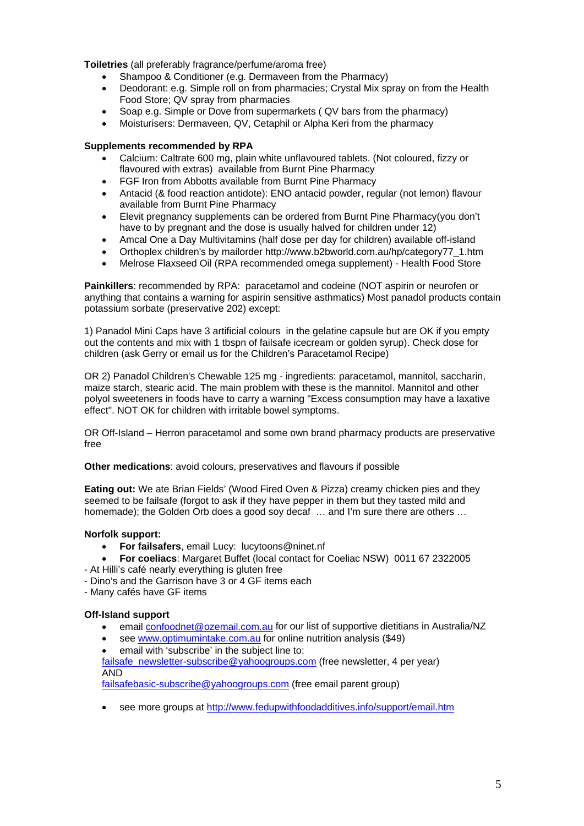**Toiletries** (all preferably fragrance/perfume/aroma free)

- Shampoo & Conditioner (e.g. Dermaveen from the Pharmacy)
- Deodorant: e.g. Simple roll on from pharmacies; Crystal Mix spray on from the Health Food Store; QV spray from pharmacies
- Soap e.g. Simple or Dove from supermarkets ( QV bars from the pharmacy)
- Moisturisers: Dermaveen, QV, Cetaphil or Alpha Keri from the pharmacy

# **Supplements recommended by RPA**

- Calcium: Caltrate 600 mg, plain white unflavoured tablets. (Not coloured, fizzy or flavoured with extras) available from Burnt Pine Pharmacy
- FGF Iron from Abbotts available from Burnt Pine Pharmacy
- Antacid (& food reaction antidote): ENO antacid powder, regular (not lemon) flavour available from Burnt Pine Pharmacy
- Elevit pregnancy supplements can be ordered from Burnt Pine Pharmacy(you don't have to by pregnant and the dose is usually halved for children under 12)
- Amcal One a Day Multivitamins (half dose per day for children) available off-island
- Orthoplex children's by mailorder http://www.b2bworld.com.au/hp/category77\_1.htm
- Melrose Flaxseed Oil (RPA recommended omega supplement) Health Food Store

**Painkillers**: recommended by RPA: paracetamol and codeine (NOT aspirin or neurofen or anything that contains a warning for aspirin sensitive asthmatics) Most panadol products contain potassium sorbate (preservative 202) except:

1) Panadol Mini Caps have 3 artificial colours in the gelatine capsule but are OK if you empty out the contents and mix with 1 tbspn of failsafe icecream or golden syrup). Check dose for children (ask Gerry or email us for the Children's Paracetamol Recipe)

OR 2) Panadol Children's Chewable 125 mg - ingredients: paracetamol, mannitol, saccharin, maize starch, stearic acid. The main problem with these is the mannitol. Mannitol and other polyol sweeteners in foods have to carry a warning "Excess consumption may have a laxative effect". NOT OK for children with irritable bowel symptoms.

OR Off-Island – Herron paracetamol and some own brand pharmacy products are preservative free

**Other medications**: avoid colours, preservatives and flavours if possible

**Eating out:** We ate Brian Fields' (Wood Fired Oven & Pizza) creamy chicken pies and they seemed to be failsafe (forgot to ask if they have pepper in them but they tasted mild and homemade); the Golden Orb does a good soy decaf ... and I'm sure there are others ...

## **Norfolk support:**

- **For failsafers**, email Lucy: lucytoons@ninet.nf
- **For coeliacs**: Margaret Buffet (local contact for Coeliac NSW) 0011 67 2322005
- At Hilli's café nearly everything is gluten free
- Dino's and the Garrison have 3 or 4 GF items each
- Many cafés have GF items

## **Off-Island support**

- email **[confoodnet@ozemail.com.au](mailto:confoodnet@ozemail.com.au)** for our list of supportive dietitians in Australia/NZ
- see [www.optimumintake.com.au](http://www.optimumintake.com.au/) for online nutrition analysis (\$49)
- email with 'subscribe' in the subject line to:

[failsafe\\_newsletter-subscribe@yahoogroups.com](mailto:failsafe_newsletter-subscribe@yahoogroups.com) (free newsletter, 4 per year) AND

[failsafebasic-subscribe@yahoogroups.com](mailto:failsafebasic-subscribe@yahoogroups.com) (free email parent group)

• see more groups at <http://www.fedupwithfoodadditives.info/support/email.htm>